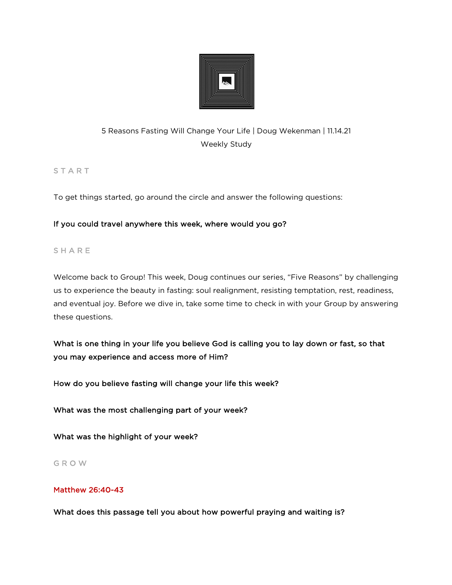

# 5 Reasons Fasting Will Change Your Life | Doug Wekenman | 11.14.21 Weekly Study

**START** 

To get things started, go around the circle and answer the following questions:

# If you could travel anywhere this week, where would you go?

# **SHARE**

Welcome back to Group! This week, Doug continues our series, "Five Reasons" by challenging us to experience the beauty in fasting: soul realignment, resisting temptation, rest, readiness, and eventual joy. Before we dive in, take some time to check in with your Group by answering these questions.

What is one thing in your life you believe God is calling you to lay down or fast, so that you may experience and access more of Him?

How do you believe fasting will change your life this week?

What was the most challenging part of your week?

What was the highlight of your week?

## G R O W

# Matthew 26:40-43

What does this passage tell you about how powerful praying and waiting is?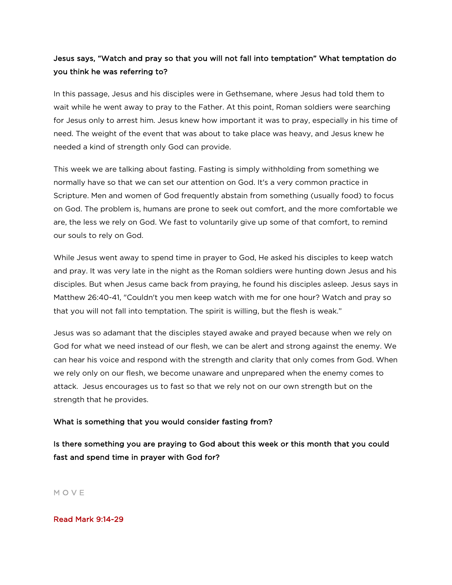# Jesus says, "Watch and pray so that you will not fall into temptation" What temptation do you think he was referring to?

In this passage, Jesus and his disciples were in Gethsemane, where Jesus had told them to wait while he went away to pray to the Father. At this point, Roman soldiers were searching for Jesus only to arrest him. Jesus knew how important it was to pray, especially in his time of need. The weight of the event that was about to take place was heavy, and Jesus knew he needed a kind of strength only God can provide.

This week we are talking about fasting. Fasting is simply withholding from something we normally have so that we can set our attention on God. It's a very common practice in Scripture. Men and women of God frequently abstain from something (usually food) to focus on God. The problem is, humans are prone to seek out comfort, and the more comfortable we are, the less we rely on God. We fast to voluntarily give up some of that comfort, to remind our souls to rely on God.

While Jesus went away to spend time in prayer to God, He asked his disciples to keep watch and pray. It was very late in the night as the Roman soldiers were hunting down Jesus and his disciples. But when Jesus came back from praying, he found his disciples asleep. Jesus says in Matthew 26:40-41, "Couldn't you men keep watch with me for one hour? Watch and pray so that you will not fall into temptation. The spirit is willing, but the flesh is weak."

Jesus was so adamant that the disciples stayed awake and prayed because when we rely on God for what we need instead of our flesh, we can be alert and strong against the enemy. We can hear his voice and respond with the strength and clarity that only comes from God. When we rely only on our flesh, we become unaware and unprepared when the enemy comes to attack. Jesus encourages us to fast so that we rely not on our own strength but on the strength that he provides.

## What is something that you would consider fasting from?

Is there something you are praying to God about this week or this month that you could fast and spend time in prayer with God for?

M O V E

### Read Mark 9:14-29